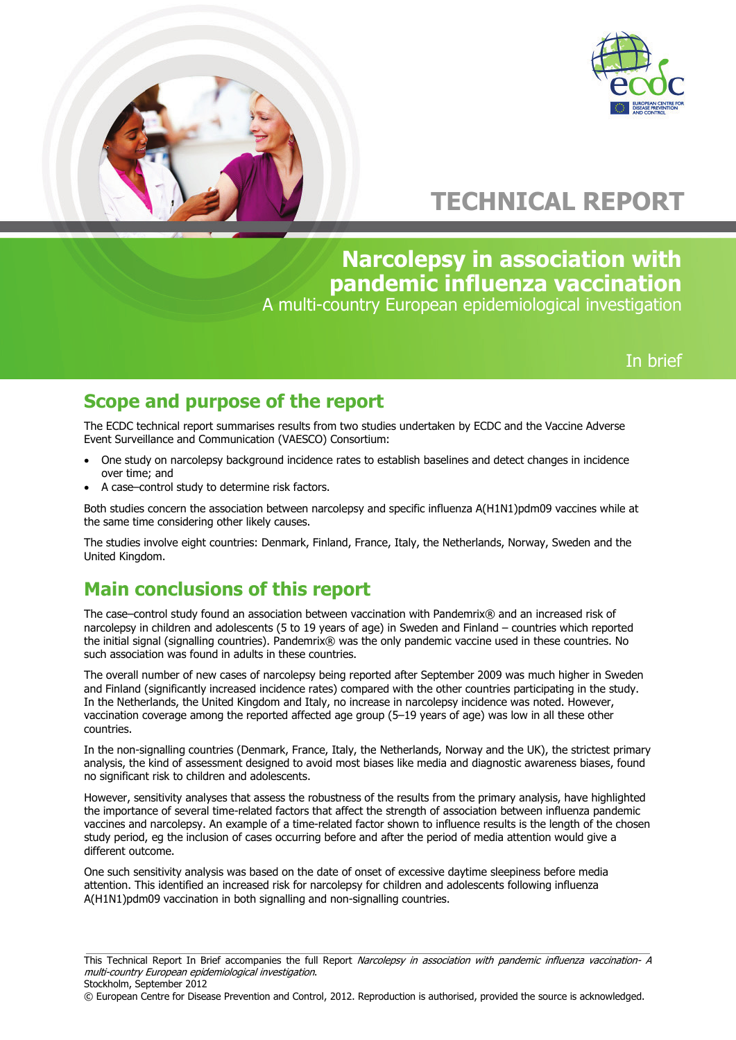



# **TECHNICAL REPORT**

**Narcolepsy in association with pandemic influenza vaccination**

A multi-country European epidemiological investigation

## In brief

## **Scope and purpose of the report**

The ECDC technical report summarises results from two studies undertaken by ECDC and the Vaccine Adverse Event Surveillance and Communication (VAESCO) Consortium:

- One study on narcolepsy background incidence rates to establish baselines and detect changes in incidence over time; and
- A case–control study to determine risk factors.

Both studies concern the association between narcolepsy and specific influenza A(H1N1)pdm09 vaccines while at the same time considering other likely causes.

The studies involve eight countries: Denmark, Finland, France, Italy, the Netherlands, Norway, Sweden and the United Kingdom.

# **Main conclusions of this report**

The case–control study found an association between vaccination with Pandemrix® and an increased risk of narcolepsy in children and adolescents (5 to 19 years of age) in Sweden and Finland – countries which reported the initial signal (signalling countries). Pandemrix® was the only pandemic vaccine used in these countries. No such association was found in adults in these countries.

The overall number of new cases of narcolepsy being reported after September 2009 was much higher in Sweden and Finland (significantly increased incidence rates) compared with the other countries participating in the study. In the Netherlands, the United Kingdom and Italy, no increase in narcolepsy incidence was noted. However, vaccination coverage among the reported affected age group (5–19 years of age) was low in all these other countries.

In the non-signalling countries (Denmark, France, Italy, the Netherlands, Norway and the UK), the strictest primary analysis, the kind of assessment designed to avoid most biases like media and diagnostic awareness biases, found no significant risk to children and adolescents.

However, sensitivity analyses that assess the robustness of the results from the primary analysis, have highlighted the importance of several time-related factors that affect the strength of association between influenza pandemic vaccines and narcolepsy. An example of a time-related factor shown to influence results is the length of the chosen study period, eg the inclusion of cases occurring before and after the period of media attention would give a different outcome.

One such sensitivity analysis was based on the date of onset of excessive daytime sleepiness before media attention. This identified an increased risk for narcolepsy for children and adolescents following influenza A(H1N1)pdm09 vaccination in both signalling and non-signalling countries.

© European Centre for Disease Prevention and Control, 2012. Reproduction is authorised, provided the source is acknowledged.